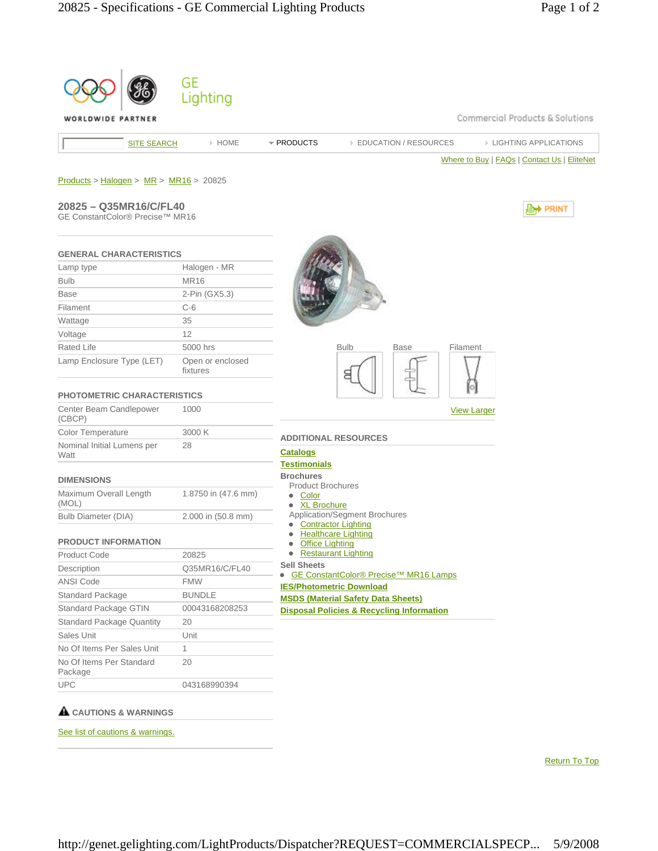| WORLDWIDE PARTNER                                         |                              | Commercial Products & Solutions                                            |
|-----------------------------------------------------------|------------------------------|----------------------------------------------------------------------------|
| <b>SITE SEARCH</b>                                        | » HOME                       | * PRODUCTS<br><b>EDUCATION / RESOURCES</b><br><b>EIGHTING APPLICATIONS</b> |
|                                                           |                              | Where to Buy   FAQs   Contact Us   EliteNet                                |
| $Products > Halogen > MR > MR16 > 20825$                  |                              |                                                                            |
|                                                           |                              |                                                                            |
| 20825 - Q35MR16/C/FL40<br>GE ConstantColor® Precise™ MR16 |                              | , <b>Lett</b> PRINT                                                        |
|                                                           |                              |                                                                            |
| <b>GENERAL CHARACTERISTICS</b>                            |                              |                                                                            |
| Lamp type                                                 | Halogen - MR                 |                                                                            |
| <b>Bulb</b>                                               | <b>MR16</b>                  |                                                                            |
| <b>Base</b>                                               | 2-Pin (GX5.3)                |                                                                            |
| Filament                                                  | $C-6$                        |                                                                            |
| Wattage                                                   | 35                           |                                                                            |
| Voltage                                                   | 12                           |                                                                            |
| Rated Life                                                | 5000 hrs                     | <b>Bulb</b><br><b>Base</b><br>Filament                                     |
| Lamp Enclosure Type (LET)                                 | Open or enclosed<br>fixtures | 8                                                                          |
| <b>PHOTOMETRIC CHARACTERISTICS</b>                        |                              |                                                                            |
| Center Beam Candlepower<br>(CBCP)                         | 1000                         | <b>View Larger</b>                                                         |
| <b>Color Temperature</b>                                  | 3000 K                       | <b>ADDITIONAL RESOURCES</b>                                                |
| Nominal Initial Lumens per<br>Watt                        | 28                           | <b>Catalogs</b>                                                            |
|                                                           |                              | <b>Testimonials</b><br><b>Brochures</b>                                    |
| <b>DIMENSIONS</b>                                         |                              | <b>Product Brochures</b>                                                   |
| Maximum Overall Length<br>(MOL)                           | 1.8750 in (47.6 mm)          | • Color<br>• XL Brochure                                                   |
| <b>Bulb Diameter (DIA)</b>                                | 2.000 in (50.8 mm)           | Application/Segment Brochures<br><b>Contractor Lighting</b>                |
| <b>PRODUCT INFORMATION</b>                                |                              | • Healthcare Lighting<br><b>Office Lighting</b>                            |
| <b>Product Code</b>                                       | 20825                        | • Restaurant Lighting                                                      |
| Description                                               | Q35MR16/C/FL40               | <b>Sell Sheets</b><br>GE ConstantColor® Precise™ MR16 Lamps                |
| <b>ANSI Code</b>                                          | <b>FMW</b>                   | <b>IES/Photometric Download</b>                                            |
| <b>Standard Package</b>                                   | <b>BUNDLE</b>                | <b>MSDS (Material Safety Data Sheets)</b>                                  |
| Standard Package GTIN                                     | 00043168208253               | <b>Disposal Policies &amp; Recycling Information</b>                       |
| <b>Standard Package Quantity</b>                          | 20                           |                                                                            |
| Sales Unit                                                | Unit                         |                                                                            |
| No Of Items Per Sales Unit                                | 1                            |                                                                            |
| No Of Items Per Standard                                  | 20                           |                                                                            |
| Package<br><b>UPC</b>                                     | 043168990394                 |                                                                            |

Return To Top